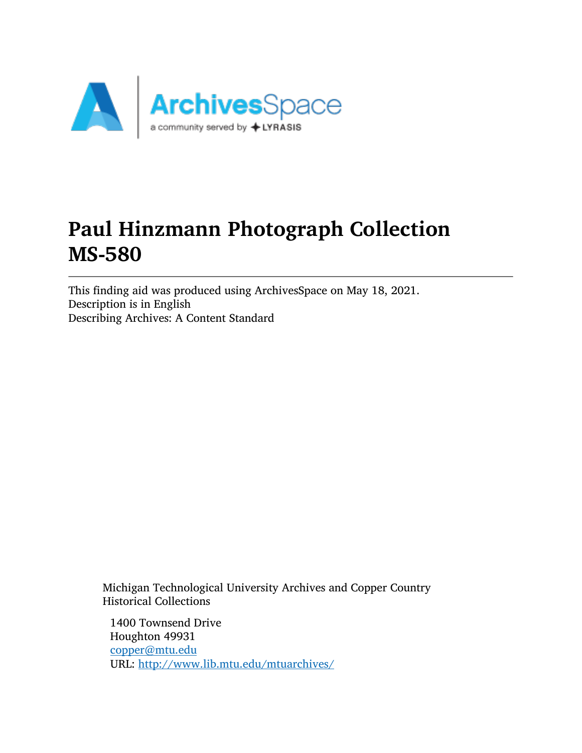

# Paul Hinzmann Photograph Collection MS-580

This finding aid was produced using ArchivesSpace on May 18, 2021. Description is in English Describing Archives: A Content Standard

Michigan Technological University Archives and Copper Country Historical Collections

1400 Townsend Drive Houghton 49931 [copper@mtu.edu](mailto:copper@mtu.edu) URL: <http://www.lib.mtu.edu/mtuarchives/>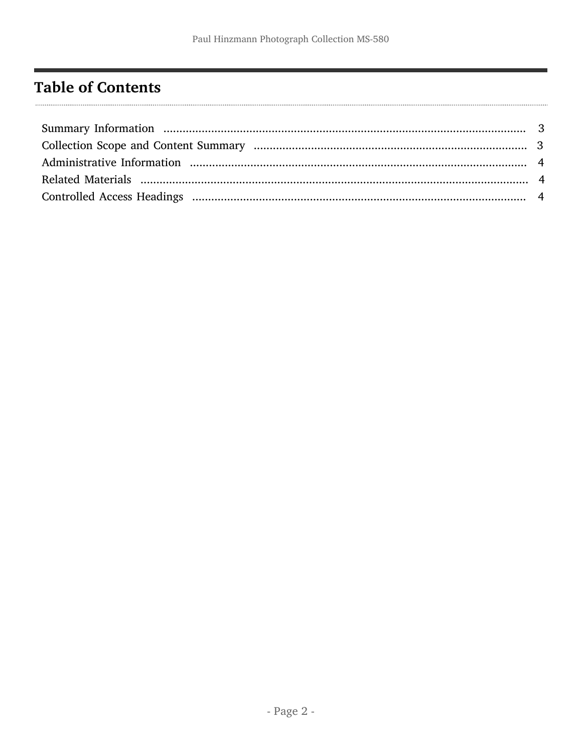## <span id="page-1-0"></span>**Table of Contents**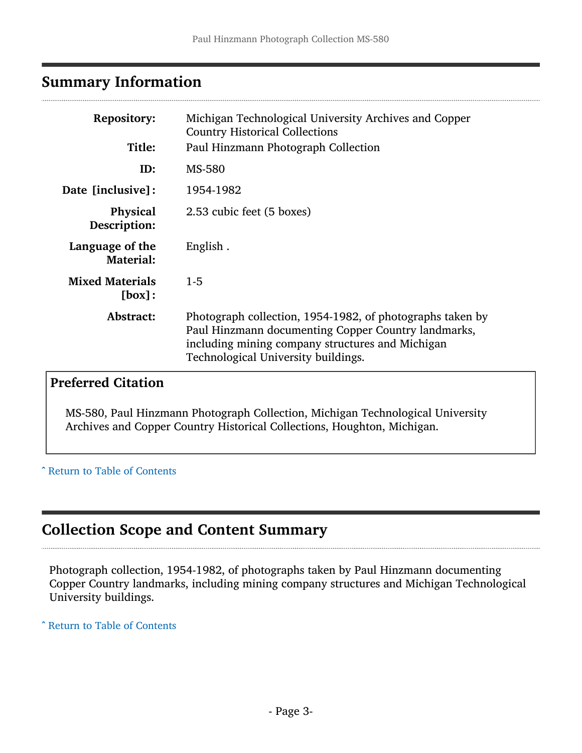## <span id="page-2-0"></span>Summary Information

| <b>Repository:</b><br>Title:        | Michigan Technological University Archives and Copper<br><b>Country Historical Collections</b><br>Paul Hinzmann Photograph Collection                                                                       |
|-------------------------------------|-------------------------------------------------------------------------------------------------------------------------------------------------------------------------------------------------------------|
| ID:                                 | <b>MS-580</b>                                                                                                                                                                                               |
| Date [inclusive]:                   | 1954-1982                                                                                                                                                                                                   |
| <b>Physical</b><br>Description:     | 2.53 cubic feet (5 boxes)                                                                                                                                                                                   |
| Language of the<br><b>Material:</b> | English.                                                                                                                                                                                                    |
| <b>Mixed Materials</b><br>[box]:    | $1 - 5$                                                                                                                                                                                                     |
| Abstract:                           | Photograph collection, 1954-1982, of photographs taken by<br>Paul Hinzmann documenting Copper Country landmarks,<br>including mining company structures and Michigan<br>Technological University buildings. |

## Preferred Citation

MS-580, Paul Hinzmann Photograph Collection, Michigan Technological University Archives and Copper Country Historical Collections, Houghton, Michigan.

^ [Return to Table of Contents](#page-1-0)

## <span id="page-2-1"></span>Collection Scope and Content Summary

Photograph collection, 1954-1982, of photographs taken by Paul Hinzmann documenting Copper Country landmarks, including mining company structures and Michigan Technological University buildings.

^ [Return to Table of Contents](#page-1-0)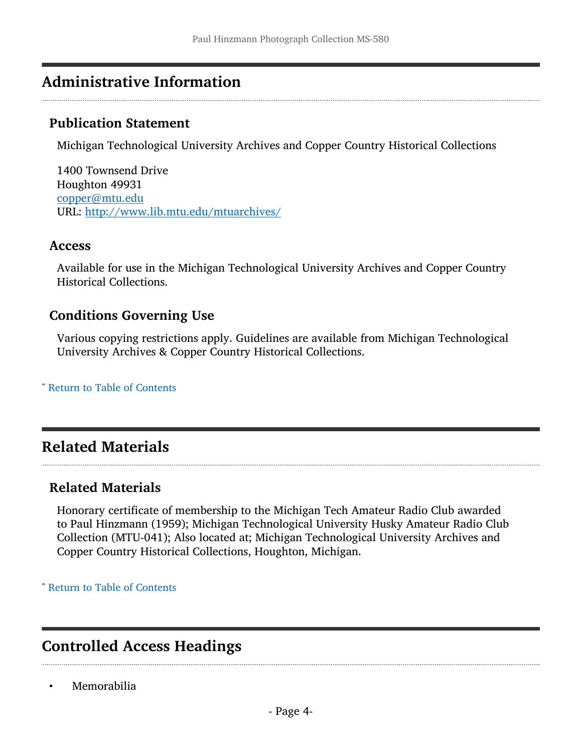## <span id="page-3-0"></span>Administrative Information

#### Publication Statement

Michigan Technological University Archives and Copper Country Historical Collections

1400 Townsend Drive Houghton 49931 [copper@mtu.edu](mailto:copper@mtu.edu) URL: <http://www.lib.mtu.edu/mtuarchives/>

#### Access

Available for use in the Michigan Technological University Archives and Copper Country Historical Collections.

#### Conditions Governing Use

Various copying restrictions apply. Guidelines are available from Michigan Technological University Archives & Copper Country Historical Collections.

^ [Return to Table of Contents](#page-1-0)

## <span id="page-3-1"></span>Related Materials

#### Related Materials

Honorary certificate of membership to the Michigan Tech Amateur Radio Club awarded to Paul Hinzmann (1959); Michigan Technological University Husky Amateur Radio Club Collection (MTU-041); Also located at; Michigan Technological University Archives and Copper Country Historical Collections, Houghton, Michigan.

^ [Return to Table of Contents](#page-1-0)

## <span id="page-3-2"></span>Controlled Access Headings

• Memorabilia